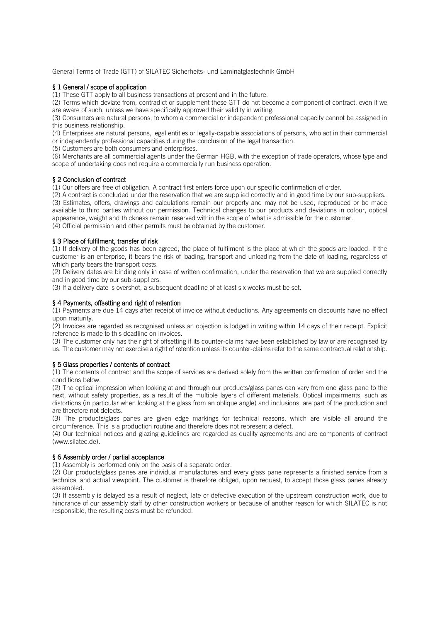General Terms of Trade (GTT) of SILATEC Sicherheits- und Laminatglastechnik GmbH

# § 1 General / scope of application

(1) These GTT apply to all business transactions at present and in the future.

(2) Terms which deviate from, contradict or supplement these GTT do not become a component of contract, even if we are aware of such, unless we have specifically approved their validity in writing.

(3) Consumers are natural persons, to whom a commercial or independent professional capacity cannot be assigned in this business relationship.

(4) Enterprises are natural persons, legal entities or legally-capable associations of persons, who act in their commercial or independently professional capacities during the conclusion of the legal transaction.

(5) Customers are both consumers and enterprises.

(6) Merchants are all commercial agents under the German HGB, with the exception of trade operators, whose type and scope of undertaking does not require a commercially run business operation.

## § 2 Conclusion of contract

(1) Our offers are free of obligation. A contract first enters force upon our specific confirmation of order.

(2) A contract is concluded under the reservation that we are supplied correctly and in good time by our sub-suppliers. (3) Estimates, offers, drawings and calculations remain our property and may not be used, reproduced or be made available to third parties without our permission. Technical changes to our products and deviations in colour, optical appearance, weight and thickness remain reserved within the scope of what is admissible for the customer. (4) Official permission and other permits must be obtained by the customer.

## § 3 Place of fulfilment, transfer of risk

(1) If delivery of the goods has been agreed, the place of fulfilment is the place at which the goods are loaded. If the customer is an enterprise, it bears the risk of loading, transport and unloading from the date of loading, regardless of which party bears the transport costs.

(2) Delivery dates are binding only in case of written confirmation, under the reservation that we are supplied correctly and in good time by our sub-suppliers.

(3) If a delivery date is overshot, a subsequent deadline of at least six weeks must be set.

## § 4 Payments, offsetting and right of retention

(1) Payments are due 14 days after receipt of invoice without deductions. Any agreements on discounts have no effect upon maturity.

(2) Invoices are regarded as recognised unless an objection is lodged in writing within 14 days of their receipt. Explicit reference is made to this deadline on invoices.

(3) The customer only has the right of offsetting if its counter-claims have been established by law or are recognised by us. The customer may not exercise a right of retention unless its counter-claims refer to the same contractual relationship.

### § 5 Glass properties / contents of contract

(1) The contents of contract and the scope of services are derived solely from the written confirmation of order and the conditions below.

(2) The optical impression when looking at and through our products/glass panes can vary from one glass pane to the next, without safety properties, as a result of the multiple layers of different materials. Optical impairments, such as distortions (in particular when looking at the glass from an oblique angle) and inclusions, are part of the production and are therefore not defects.

(3) The products/glass panes are given edge markings for technical reasons, which are visible all around the circumference. This is a production routine and therefore does not represent a defect.

(4) Our technical notices and glazing guidelines are regarded as quality agreements and are components of contract (www.silatec.de).

## § 6 Assembly order / partial acceptance

(1) Assembly is performed only on the basis of a separate order.

(2) Our products/glass panes are individual manufactures and every glass pane represents a finished service from a technical and actual viewpoint. The customer is therefore obliged, upon request, to accept those glass panes already assembled.

(3) If assembly is delayed as a result of neglect, late or defective execution of the upstream construction work, due to hindrance of our assembly staff by other construction workers or because of another reason for which SILATEC is not responsible, the resulting costs must be refunded.